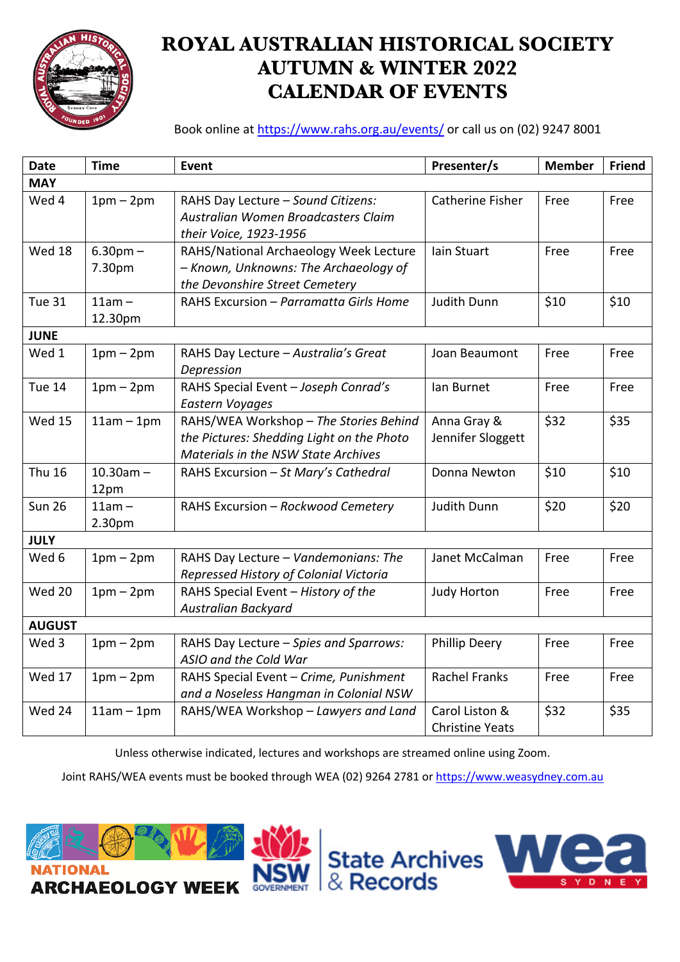

# **ROYAL AUSTRALIAN HISTORICAL SOCIETY AUTUMN & WINTER 2022 CALENDAR OF EVENTS**

Book online at https://www.rahs.org.au/events/ or call us on (02) 9247 8001

| <b>Date</b>   | <b>Time</b>            | <b>Event</b>                                                                                                               | Presenter/s                              | <b>Member</b> | <b>Friend</b> |
|---------------|------------------------|----------------------------------------------------------------------------------------------------------------------------|------------------------------------------|---------------|---------------|
| <b>MAY</b>    |                        |                                                                                                                            |                                          |               |               |
| Wed 4         | $1pm-2pm$              | RAHS Day Lecture - Sound Citizens:<br>Australian Women Broadcasters Claim<br>their Voice, 1923-1956                        | Catherine Fisher                         | Free          | Free          |
| Wed 18        | $6.30pm -$<br>7.30pm   | RAHS/National Archaeology Week Lecture<br>- Known, Unknowns: The Archaeology of<br>the Devonshire Street Cemetery          | Iain Stuart                              | Free          | Free          |
| <b>Tue 31</b> | $11am -$<br>12.30pm    | RAHS Excursion - Parramatta Girls Home                                                                                     | <b>Judith Dunn</b>                       | \$10          | \$10          |
| <b>JUNE</b>   |                        |                                                                                                                            |                                          |               |               |
| Wed 1         | $1pm-2pm$              | RAHS Day Lecture - Australia's Great<br>Depression                                                                         | Joan Beaumont                            | Free          | Free          |
| Tue 14        | $1pm-2pm$              | RAHS Special Event - Joseph Conrad's<br><b>Eastern Voyages</b>                                                             | lan Burnet                               | Free          | Free          |
| <b>Wed 15</b> | $11am - 1pm$           | RAHS/WEA Workshop - The Stories Behind<br>the Pictures: Shedding Light on the Photo<br>Materials in the NSW State Archives | Anna Gray &<br>Jennifer Sloggett         | \$32          | \$35          |
| <b>Thu 16</b> | $10.30$ am $-$<br>12pm | RAHS Excursion - St Mary's Cathedral                                                                                       | Donna Newton                             | \$10          | \$10          |
| <b>Sun 26</b> | $11am -$<br>2.30pm     | RAHS Excursion - Rockwood Cemetery                                                                                         | <b>Judith Dunn</b>                       | \$20          | \$20          |
| <b>JULY</b>   |                        |                                                                                                                            |                                          |               |               |
| Wed 6         | $1pm-2pm$              | RAHS Day Lecture - Vandemonians: The<br>Repressed History of Colonial Victoria                                             | Janet McCalman                           | Free          | Free          |
| <b>Wed 20</b> | $1pm-2pm$              | RAHS Special Event - History of the<br><b>Australian Backyard</b>                                                          | <b>Judy Horton</b>                       | Free          | Free          |
| <b>AUGUST</b> |                        |                                                                                                                            |                                          |               |               |
| Wed 3         | $1pm-2pm$              | RAHS Day Lecture - Spies and Sparrows:<br>ASIO and the Cold War                                                            | <b>Phillip Deery</b>                     | Free          | Free          |
| Wed 17        | $1pm-2pm$              | RAHS Special Event - Crime, Punishment<br>and a Noseless Hangman in Colonial NSW                                           | <b>Rachel Franks</b>                     | Free          | Free          |
| Wed 24        | $11am - 1pm$           | RAHS/WEA Workshop - Lawyers and Land                                                                                       | Carol Liston &<br><b>Christine Yeats</b> | \$32          | \$35          |

Unless otherwise indicated, lectures and workshops are streamed online using Zoom.

Joint RAHS/WEA events must be booked through WEA (02) 9264 2781 or https://www.weasydney.com.au



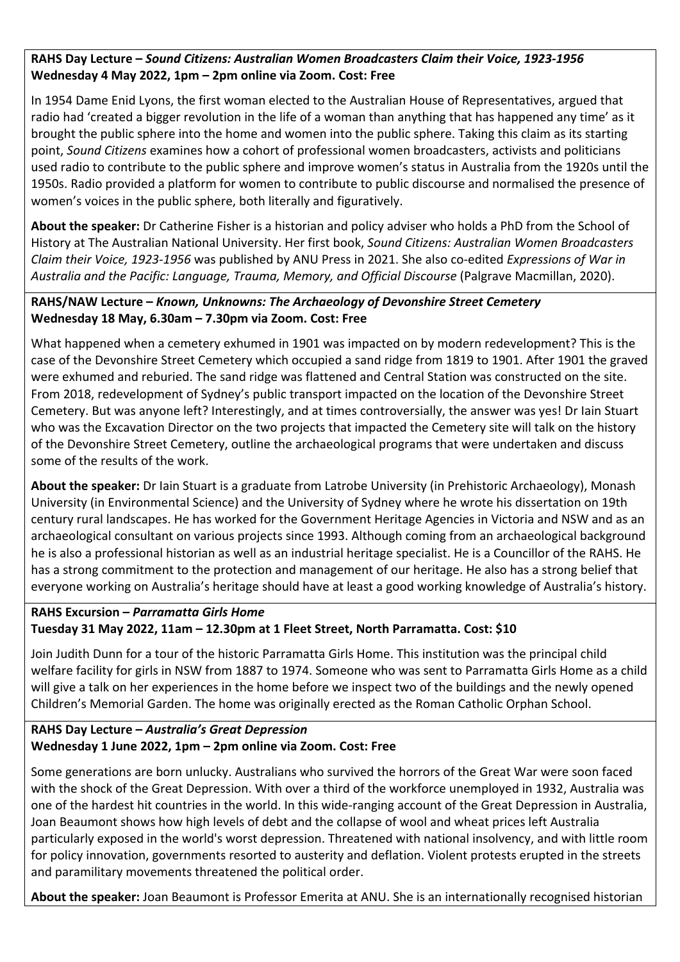## **RAHS Day Lecture –** *Sound Citizens: Australian Women Broadcasters Claim their Voice, 1923-1956* **Wednesday 4 May 2022, 1pm – 2pm online via Zoom. Cost: Free**

In 1954 Dame Enid Lyons, the first woman elected to the Australian House of Representatives, argued that radio had 'created a bigger revolution in the life of a woman than anything that has happened any time' as it brought the public sphere into the home and women into the public sphere. Taking this claim as its starting point, *Sound Citizens* examines how a cohort of professional women broadcasters, activists and politicians used radio to contribute to the public sphere and improve women's status in Australia from the 1920s until the 1950s. Radio provided a platform for women to contribute to public discourse and normalised the presence of women's voices in the public sphere, both literally and figuratively.

**About the speaker:** Dr Catherine Fisher is a historian and policy adviser who holds a PhD from the School of History at The Australian National University. Her first book, *Sound Citizens: Australian Women Broadcasters Claim their Voice, 1923-1956* was published by ANU Press in 2021. She also co-edited *Expressions of War in Australia and the Pacific: Language, Trauma, Memory, and Official Discourse* (Palgrave Macmillan, 2020).

## **RAHS/NAW Lecture –** *Known, Unknowns: The Archaeology of Devonshire Street Cemetery* **Wednesday 18 May, 6.30am – 7.30pm via Zoom. Cost: Free**

What happened when a cemetery exhumed in 1901 was impacted on by modern redevelopment? This is the case of the Devonshire Street Cemetery which occupied a sand ridge from 1819 to 1901. After 1901 the graved were exhumed and reburied. The sand ridge was flattened and Central Station was constructed on the site. From 2018, redevelopment of Sydney's public transport impacted on the location of the Devonshire Street Cemetery. But was anyone left? Interestingly, and at times controversially, the answer was yes! Dr Iain Stuart who was the Excavation Director on the two projects that impacted the Cemetery site will talk on the history of the Devonshire Street Cemetery, outline the archaeological programs that were undertaken and discuss some of the results of the work.

**About the speaker:** Dr Iain Stuart is a graduate from Latrobe University (in Prehistoric Archaeology), Monash University (in Environmental Science) and the University of Sydney where he wrote his dissertation on 19th century rural landscapes. He has worked for the Government Heritage Agencies in Victoria and NSW and as an archaeological consultant on various projects since 1993. Although coming from an archaeological background he is also a professional historian as well as an industrial heritage specialist. He is a Councillor of the RAHS. He has a strong commitment to the protection and management of our heritage. He also has a strong belief that everyone working on Australia's heritage should have at least a good working knowledge of Australia's history.

## **RAHS Excursion –** *Parramatta Girls Home* **Tuesday 31 May 2022, 11am – 12.30pm at 1 Fleet Street, North Parramatta. Cost: \$10**

Join Judith Dunn for a tour of the historic Parramatta Girls Home. This institution was the principal child welfare facility for girls in NSW from 1887 to 1974. Someone who was sent to Parramatta Girls Home as a child will give a talk on her experiences in the home before we inspect two of the buildings and the newly opened Children's Memorial Garden. The home was originally erected as the Roman Catholic Orphan School.

## **RAHS Day Lecture –** *Australia's Great Depression* **Wednesday 1 June 2022, 1pm – 2pm online via Zoom. Cost: Free**

Some generations are born unlucky. Australians who survived the horrors of the Great War were soon faced with the shock of the Great Depression. With over a third of the workforce unemployed in 1932, Australia was one of the hardest hit countries in the world. In this wide-ranging account of the Great Depression in Australia, Joan Beaumont shows how high levels of debt and the collapse of wool and wheat prices left Australia particularly exposed in the world's worst depression. Threatened with national insolvency, and with little room for policy innovation, governments resorted to austerity and deflation. Violent protests erupted in the streets and paramilitary movements threatened the political order.

**About the speaker:** Joan Beaumont is Professor Emerita at ANU. She is an internationally recognised historian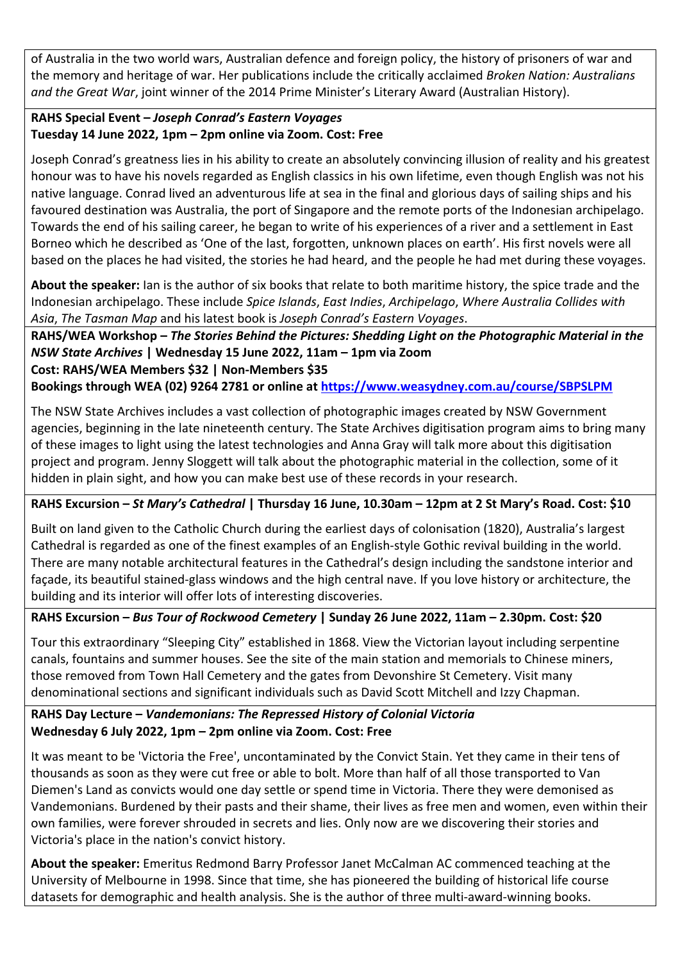of Australia in the two world wars, Australian defence and foreign policy, the history of prisoners of war and the memory and heritage of war. Her publications include the critically acclaimed *Broken Nation: Australians and the Great War*, joint winner of the 2014 Prime Minister's Literary Award (Australian History).

## **RAHS Special Event –** *Joseph Conrad's Eastern Voyages* **Tuesday 14 June 2022, 1pm – 2pm online via Zoom. Cost: Free**

Joseph Conrad's greatness lies in his ability to create an absolutely convincing illusion of reality and his greatest honour was to have his novels regarded as English classics in his own lifetime, even though English was not his native language. Conrad lived an adventurous life at sea in the final and glorious days of sailing ships and his favoured destination was Australia, the port of Singapore and the remote ports of the Indonesian archipelago. Towards the end of his sailing career, he began to write of his experiences of a river and a settlement in East Borneo which he described as 'One of the last, forgotten, unknown places on earth'. His first novels were all based on the places he had visited, the stories he had heard, and the people he had met during these voyages.

**About the speaker:** Ian is the author of six books that relate to both maritime history, the spice trade and the Indonesian archipelago. These include *Spice Islands*, *East Indies*, *Archipelago*, *Where Australia Collides with Asia*, *The Tasman Map* and his latest book is *Joseph Conrad's Eastern Voyages*.

**RAHS/WEA Workshop –** *The Stories Behind the Pictures: Shedding Light on the Photographic Material in the NSW State Archives* **| Wednesday 15 June 2022, 11am – 1pm via Zoom Cost: RAHS/WEA Members \$32 | Non-Members \$35**

**Bookings through WEA (02) 9264 2781 or online at https://www.weasydney.com.au/course/SBPSLPM**

The NSW State Archives includes a vast collection of photographic images created by NSW Government agencies, beginning in the late nineteenth century. The State Archives digitisation program aims to bring many of these images to light using the latest technologies and Anna Gray will talk more about this digitisation project and program. Jenny Sloggett will talk about the photographic material in the collection, some of it hidden in plain sight, and how you can make best use of these records in your research.

## **RAHS Excursion –** *St Mary's Cathedral* **| Thursday 16 June, 10.30am – 12pm at 2 St Mary's Road. Cost: \$10**

Built on land given to the Catholic Church during the earliest days of colonisation (1820), Australia's largest Cathedral is regarded as one of the finest examples of an English-style Gothic revival building in the world. There are many notable architectural features in the Cathedral's design including the sandstone interior and façade, its beautiful stained-glass windows and the high central nave. If you love history or architecture, the building and its interior will offer lots of interesting discoveries.

## **RAHS Excursion –** *Bus Tour of Rockwood Cemetery* **| Sunday 26 June 2022, 11am – 2.30pm. Cost: \$20**

Tour this extraordinary "Sleeping City" established in 1868. View the Victorian layout including serpentine canals, fountains and summer houses. See the site of the main station and memorials to Chinese miners, those removed from Town Hall Cemetery and the gates from Devonshire St Cemetery. Visit many denominational sections and significant individuals such as David Scott Mitchell and Izzy Chapman.

## **RAHS Day Lecture –** *Vandemonians: The Repressed History of Colonial Victoria* **Wednesday 6 July 2022, 1pm – 2pm online via Zoom. Cost: Free**

It was meant to be 'Victoria the Free', uncontaminated by the Convict Stain. Yet they came in their tens of thousands as soon as they were cut free or able to bolt. More than half of all those transported to Van Diemen's Land as convicts would one day settle or spend time in Victoria. There they were demonised as Vandemonians. Burdened by their pasts and their shame, their lives as free men and women, even within their own families, were forever shrouded in secrets and lies. Only now are we discovering their stories and Victoria's place in the nation's convict history.

**About the speaker:** Emeritus Redmond Barry Professor Janet McCalman AC commenced teaching at the University of Melbourne in 1998. Since that time, she has pioneered the building of historical life course datasets for demographic and health analysis. She is the author of three multi-award-winning books.